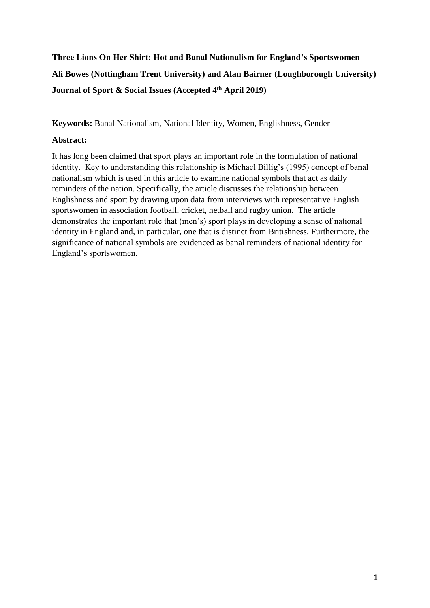# **Three Lions On Her Shirt: Hot and Banal Nationalism for England's Sportswomen Ali Bowes (Nottingham Trent University) and Alan Bairner (Loughborough University) Journal of Sport & Social Issues (Accepted 4th April 2019)**

**Keywords:** Banal Nationalism, National Identity, Women, Englishness, Gender

# **Abstract:**

It has long been claimed that sport plays an important role in the formulation of national identity. Key to understanding this relationship is Michael Billig's (1995) concept of banal nationalism which is used in this article to examine national symbols that act as daily reminders of the nation. Specifically, the article discusses the relationship between Englishness and sport by drawing upon data from interviews with representative English sportswomen in association football, cricket, netball and rugby union. The article demonstrates the important role that (men's) sport plays in developing a sense of national identity in England and, in particular, one that is distinct from Britishness. Furthermore, the significance of national symbols are evidenced as banal reminders of national identity for England's sportswomen.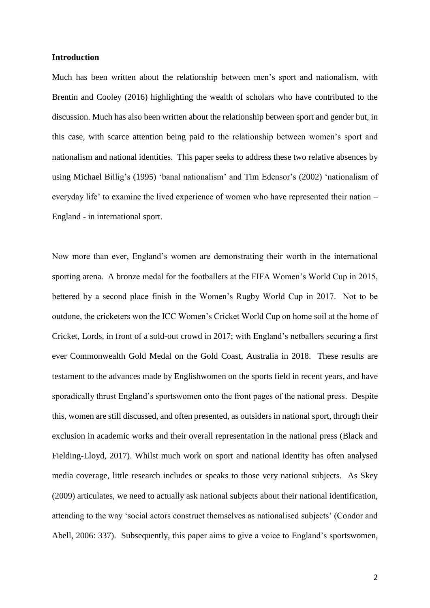#### **Introduction**

Much has been written about the relationship between men's sport and nationalism, with Brentin and Cooley (2016) highlighting the wealth of scholars who have contributed to the discussion. Much has also been written about the relationship between sport and gender but, in this case, with scarce attention being paid to the relationship between women's sport and nationalism and national identities. This paper seeks to address these two relative absences by using Michael Billig's (1995) 'banal nationalism' and Tim Edensor's (2002) 'nationalism of everyday life' to examine the lived experience of women who have represented their nation – England - in international sport.

Now more than ever, England's women are demonstrating their worth in the international sporting arena. A bronze medal for the footballers at the FIFA Women's World Cup in 2015, bettered by a second place finish in the Women's Rugby World Cup in 2017. Not to be outdone, the cricketers won the ICC Women's Cricket World Cup on home soil at the home of Cricket, Lords, in front of a sold-out crowd in 2017; with England's netballers securing a first ever Commonwealth Gold Medal on the Gold Coast, Australia in 2018. These results are testament to the advances made by Englishwomen on the sports field in recent years, and have sporadically thrust England's sportswomen onto the front pages of the national press. Despite this, women are still discussed, and often presented, as outsiders in national sport, through their exclusion in academic works and their overall representation in the national press (Black and Fielding-Lloyd, 2017). Whilst much work on sport and national identity has often analysed media coverage, little research includes or speaks to those very national subjects. As Skey (2009) articulates, we need to actually ask national subjects about their national identification, attending to the way 'social actors construct themselves as nationalised subjects' (Condor and Abell, 2006: 337). Subsequently, this paper aims to give a voice to England's sportswomen,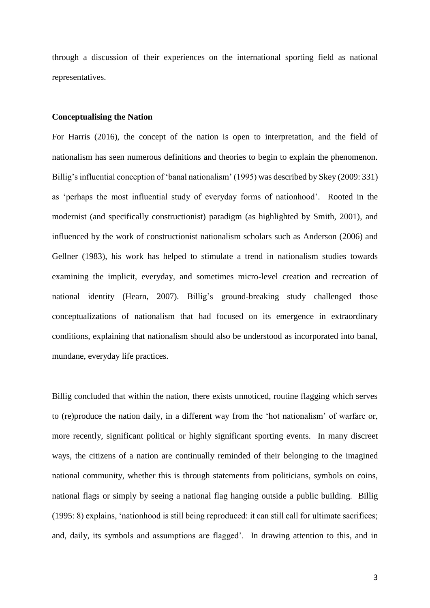through a discussion of their experiences on the international sporting field as national representatives.

#### **Conceptualising the Nation**

For Harris (2016), the concept of the nation is open to interpretation, and the field of nationalism has seen numerous definitions and theories to begin to explain the phenomenon. Billig's influential conception of 'banal nationalism' (1995) was described by Skey (2009: 331) as 'perhaps the most influential study of everyday forms of nationhood'. Rooted in the modernist (and specifically constructionist) paradigm (as highlighted by Smith, 2001), and influenced by the work of constructionist nationalism scholars such as Anderson (2006) and Gellner (1983), his work has helped to stimulate a trend in nationalism studies towards examining the implicit, everyday, and sometimes micro-level creation and recreation of national identity (Hearn, 2007). Billig's ground-breaking study challenged those conceptualizations of nationalism that had focused on its emergence in extraordinary conditions, explaining that nationalism should also be understood as incorporated into banal, mundane, everyday life practices.

Billig concluded that within the nation, there exists unnoticed, routine flagging which serves to (re)produce the nation daily, in a different way from the 'hot nationalism' of warfare or, more recently, significant political or highly significant sporting events. In many discreet ways, the citizens of a nation are continually reminded of their belonging to the imagined national community, whether this is through statements from politicians, symbols on coins, national flags or simply by seeing a national flag hanging outside a public building. Billig (1995: 8) explains, 'nationhood is still being reproduced: it can still call for ultimate sacrifices; and, daily, its symbols and assumptions are flagged'. In drawing attention to this, and in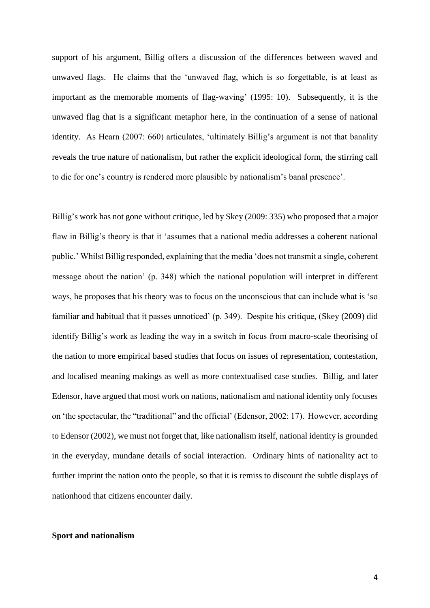support of his argument, Billig offers a discussion of the differences between waved and unwaved flags. He claims that the 'unwaved flag, which is so forgettable, is at least as important as the memorable moments of flag-waving' (1995: 10). Subsequently, it is the unwaved flag that is a significant metaphor here, in the continuation of a sense of national identity. As Hearn (2007: 660) articulates, 'ultimately Billig's argument is not that banality reveals the true nature of nationalism, but rather the explicit ideological form, the stirring call to die for one's country is rendered more plausible by nationalism's banal presence'.

Billig's work has not gone without critique, led by Skey (2009: 335) who proposed that a major flaw in Billig's theory is that it 'assumes that a national media addresses a coherent national public.' Whilst Billig responded, explaining that the media 'does not transmit a single, coherent message about the nation' (p. 348) which the national population will interpret in different ways, he proposes that his theory was to focus on the unconscious that can include what is 'so familiar and habitual that it passes unnoticed' (p. 349). Despite his critique, (Skey (2009) did identify Billig's work as leading the way in a switch in focus from macro-scale theorising of the nation to more empirical based studies that focus on issues of representation, contestation, and localised meaning makings as well as more contextualised case studies. Billig, and later Edensor, have argued that most work on nations, nationalism and national identity only focuses on 'the spectacular, the "traditional" and the official' (Edensor, 2002: 17). However, according to Edensor (2002), we must not forget that, like nationalism itself, national identity is grounded in the everyday, mundane details of social interaction. Ordinary hints of nationality act to further imprint the nation onto the people, so that it is remiss to discount the subtle displays of nationhood that citizens encounter daily.

#### **Sport and nationalism**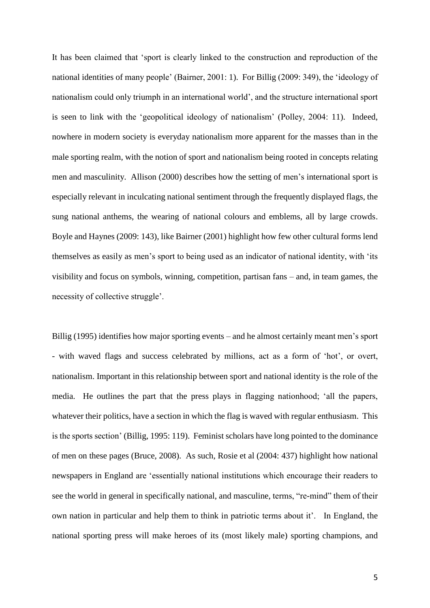It has been claimed that 'sport is clearly linked to the construction and reproduction of the national identities of many people' (Bairner, 2001: 1). For Billig (2009: 349), the 'ideology of nationalism could only triumph in an international world', and the structure international sport is seen to link with the 'geopolitical ideology of nationalism' (Polley, 2004: 11). Indeed, nowhere in modern society is everyday nationalism more apparent for the masses than in the male sporting realm, with the notion of sport and nationalism being rooted in concepts relating men and masculinity. Allison (2000) describes how the setting of men's international sport is especially relevant in inculcating national sentiment through the frequently displayed flags, the sung national anthems, the wearing of national colours and emblems, all by large crowds. Boyle and Haynes (2009: 143), like Bairner (2001) highlight how few other cultural forms lend themselves as easily as men's sport to being used as an indicator of national identity, with 'its visibility and focus on symbols, winning, competition, partisan fans – and, in team games, the necessity of collective struggle'.

Billig (1995) identifies how major sporting events – and he almost certainly meant men's sport - with waved flags and success celebrated by millions, act as a form of 'hot', or overt, nationalism. Important in this relationship between sport and national identity is the role of the media. He outlines the part that the press plays in flagging nationhood; 'all the papers, whatever their politics, have a section in which the flag is waved with regular enthusiasm. This is the sports section' (Billig, 1995: 119). Feminist scholars have long pointed to the dominance of men on these pages (Bruce, 2008). As such, Rosie et al (2004: 437) highlight how national newspapers in England are 'essentially national institutions which encourage their readers to see the world in general in specifically national, and masculine, terms, "re-mind" them of their own nation in particular and help them to think in patriotic terms about it'. In England, the national sporting press will make heroes of its (most likely male) sporting champions, and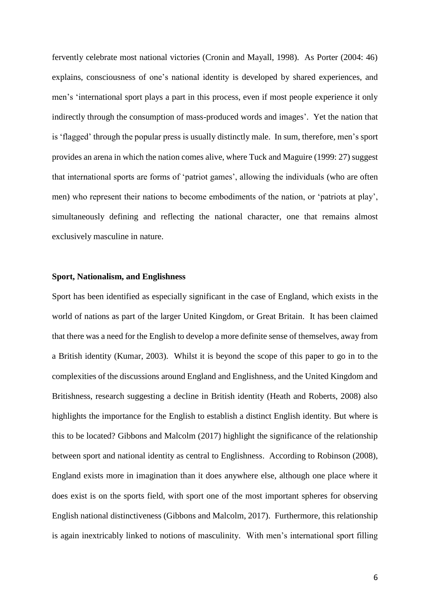fervently celebrate most national victories (Cronin and Mayall, 1998). As Porter (2004: 46) explains, consciousness of one's national identity is developed by shared experiences, and men's 'international sport plays a part in this process, even if most people experience it only indirectly through the consumption of mass-produced words and images'. Yet the nation that is 'flagged' through the popular press is usually distinctly male. In sum, therefore, men's sport provides an arena in which the nation comes alive, where Tuck and Maguire (1999: 27) suggest that international sports are forms of 'patriot games', allowing the individuals (who are often men) who represent their nations to become embodiments of the nation, or 'patriots at play', simultaneously defining and reflecting the national character, one that remains almost exclusively masculine in nature.

#### **Sport, Nationalism, and Englishness**

Sport has been identified as especially significant in the case of England, which exists in the world of nations as part of the larger United Kingdom, or Great Britain. It has been claimed that there was a need for the English to develop a more definite sense of themselves, away from a British identity (Kumar, 2003). Whilst it is beyond the scope of this paper to go in to the complexities of the discussions around England and Englishness, and the United Kingdom and Britishness, research suggesting a decline in British identity (Heath and Roberts, 2008) also highlights the importance for the English to establish a distinct English identity. But where is this to be located? Gibbons and Malcolm (2017) highlight the significance of the relationship between sport and national identity as central to Englishness. According to Robinson (2008), England exists more in imagination than it does anywhere else, although one place where it does exist is on the sports field, with sport one of the most important spheres for observing English national distinctiveness (Gibbons and Malcolm, 2017). Furthermore, this relationship is again inextricably linked to notions of masculinity. With men's international sport filling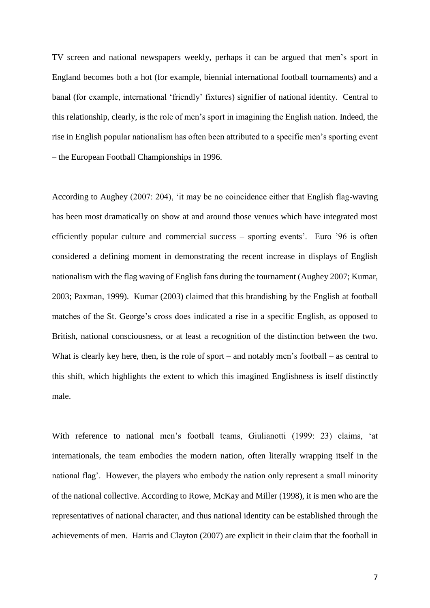TV screen and national newspapers weekly, perhaps it can be argued that men's sport in England becomes both a hot (for example, biennial international football tournaments) and a banal (for example, international 'friendly' fixtures) signifier of national identity. Central to this relationship, clearly, is the role of men's sport in imagining the English nation. Indeed, the rise in English popular nationalism has often been attributed to a specific men's sporting event – the European Football Championships in 1996.

According to Aughey (2007: 204), 'it may be no coincidence either that English flag-waving has been most dramatically on show at and around those venues which have integrated most efficiently popular culture and commercial success – sporting events'.Euro '96 is often considered a defining moment in demonstrating the recent increase in displays of English nationalism with the flag waving of English fans during the tournament (Aughey 2007; Kumar, 2003; Paxman, 1999). Kumar (2003) claimed that this brandishing by the English at football matches of the St. George's cross does indicated a rise in a specific English, as opposed to British, national consciousness, or at least a recognition of the distinction between the two. What is clearly key here, then, is the role of sport – and notably men's football – as central to this shift, which highlights the extent to which this imagined Englishness is itself distinctly male.

With reference to national men's football teams, Giulianotti (1999: 23) claims, 'at internationals, the team embodies the modern nation, often literally wrapping itself in the national flag'. However, the players who embody the nation only represent a small minority of the national collective. According to Rowe, McKay and Miller (1998), it is men who are the representatives of national character, and thus national identity can be established through the achievements of men. Harris and Clayton (2007) are explicit in their claim that the football in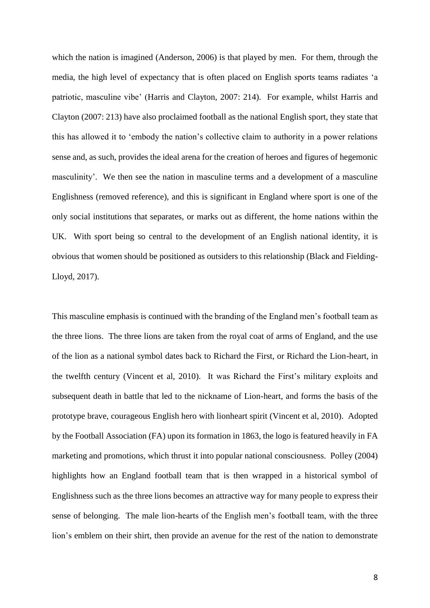which the nation is imagined (Anderson, 2006) is that played by men. For them, through the media, the high level of expectancy that is often placed on English sports teams radiates 'a patriotic, masculine vibe' (Harris and Clayton, 2007: 214). For example, whilst Harris and Clayton (2007: 213) have also proclaimed football as the national English sport, they state that this has allowed it to 'embody the nation's collective claim to authority in a power relations sense and, as such, provides the ideal arena for the creation of heroes and figures of hegemonic masculinity'. We then see the nation in masculine terms and a development of a masculine Englishness (removed reference), and this is significant in England where sport is one of the only social institutions that separates, or marks out as different, the home nations within the UK. With sport being so central to the development of an English national identity, it is obvious that women should be positioned as outsiders to this relationship (Black and Fielding-Lloyd, 2017).

This masculine emphasis is continued with the branding of the England men's football team as the three lions. The three lions are taken from the royal coat of arms of England, and the use of the lion as a national symbol dates back to Richard the First, or Richard the Lion-heart, in the twelfth century (Vincent et al, 2010). It was Richard the First's military exploits and subsequent death in battle that led to the nickname of Lion-heart, and forms the basis of the prototype brave, courageous English hero with lionheart spirit (Vincent et al, 2010). Adopted by the Football Association (FA) upon its formation in 1863, the logo is featured heavily in FA marketing and promotions, which thrust it into popular national consciousness. Polley (2004) highlights how an England football team that is then wrapped in a historical symbol of Englishness such as the three lions becomes an attractive way for many people to express their sense of belonging. The male lion-hearts of the English men's football team, with the three lion's emblem on their shirt, then provide an avenue for the rest of the nation to demonstrate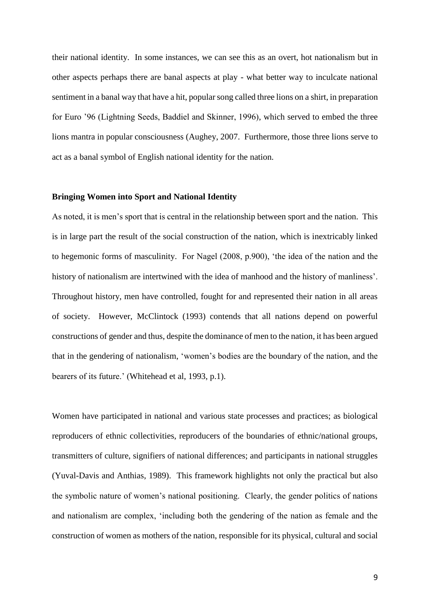their national identity. In some instances, we can see this as an overt, hot nationalism but in other aspects perhaps there are banal aspects at play - what better way to inculcate national sentiment in a banal way that have a hit, popular song called three lions on a shirt, in preparation for Euro '96 (Lightning Seeds, Baddiel and Skinner, 1996), which served to embed the three lions mantra in popular consciousness (Aughey, 2007. Furthermore, those three lions serve to act as a banal symbol of English national identity for the nation.

#### **Bringing Women into Sport and National Identity**

As noted, it is men's sport that is central in the relationship between sport and the nation. This is in large part the result of the social construction of the nation, which is inextricably linked to hegemonic forms of masculinity. For Nagel (2008, p.900), 'the idea of the nation and the history of nationalism are intertwined with the idea of manhood and the history of manliness'. Throughout history, men have controlled, fought for and represented their nation in all areas of society. However, McClintock (1993) contends that all nations depend on powerful constructions of gender and thus, despite the dominance of men to the nation, it has been argued that in the gendering of nationalism, 'women's bodies are the boundary of the nation, and the bearers of its future.' (Whitehead et al, 1993, p.1).

Women have participated in national and various state processes and practices; as biological reproducers of ethnic collectivities, reproducers of the boundaries of ethnic/national groups, transmitters of culture, signifiers of national differences; and participants in national struggles (Yuval-Davis and Anthias, 1989). This framework highlights not only the practical but also the symbolic nature of women's national positioning. Clearly, the gender politics of nations and nationalism are complex, 'including both the gendering of the nation as female and the construction of women as mothers of the nation, responsible for its physical, cultural and social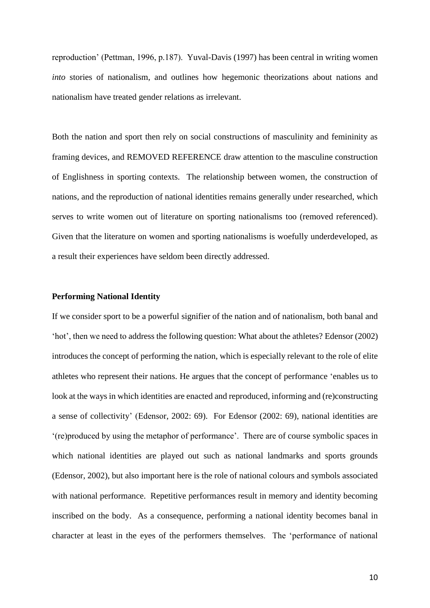reproduction' (Pettman, 1996, p.187). Yuval-Davis (1997) has been central in writing women *into* stories of nationalism, and outlines how hegemonic theorizations about nations and nationalism have treated gender relations as irrelevant.

Both the nation and sport then rely on social constructions of masculinity and femininity as framing devices, and REMOVED REFERENCE draw attention to the masculine construction of Englishness in sporting contexts. The relationship between women, the construction of nations, and the reproduction of national identities remains generally under researched, which serves to write women out of literature on sporting nationalisms too (removed referenced). Given that the literature on women and sporting nationalisms is woefully underdeveloped, as a result their experiences have seldom been directly addressed.

### **Performing National Identity**

If we consider sport to be a powerful signifier of the nation and of nationalism, both banal and 'hot', then we need to address the following question: What about the athletes? Edensor (2002) introduces the concept of performing the nation, which is especially relevant to the role of elite athletes who represent their nations. He argues that the concept of performance 'enables us to look at the ways in which identities are enacted and reproduced, informing and (re)constructing a sense of collectivity' (Edensor, 2002: 69). For Edensor (2002: 69), national identities are '(re)produced by using the metaphor of performance'. There are of course symbolic spaces in which national identities are played out such as national landmarks and sports grounds (Edensor, 2002), but also important here is the role of national colours and symbols associated with national performance. Repetitive performances result in memory and identity becoming inscribed on the body. As a consequence, performing a national identity becomes banal in character at least in the eyes of the performers themselves. The 'performance of national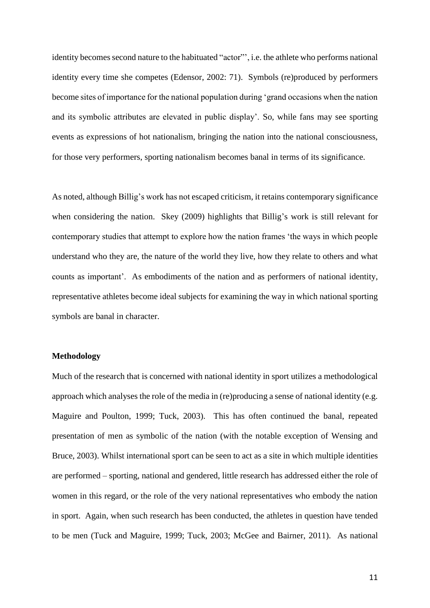identity becomes second nature to the habituated "actor"', i.e. the athlete who performs national identity every time she competes (Edensor, 2002: 71). Symbols (re)produced by performers become sites of importance for the national population during 'grand occasions when the nation and its symbolic attributes are elevated in public display'. So, while fans may see sporting events as expressions of hot nationalism, bringing the nation into the national consciousness, for those very performers, sporting nationalism becomes banal in terms of its significance.

As noted, although Billig's work has not escaped criticism, it retains contemporary significance when considering the nation. Skey (2009) highlights that Billig's work is still relevant for contemporary studies that attempt to explore how the nation frames 'the ways in which people understand who they are, the nature of the world they live, how they relate to others and what counts as important'. As embodiments of the nation and as performers of national identity, representative athletes become ideal subjects for examining the way in which national sporting symbols are banal in character.

#### **Methodology**

Much of the research that is concerned with national identity in sport utilizes a methodological approach which analyses the role of the media in (re)producing a sense of national identity (e.g. Maguire and Poulton, 1999; Tuck, 2003). This has often continued the banal, repeated presentation of men as symbolic of the nation (with the notable exception of Wensing and Bruce, 2003). Whilst international sport can be seen to act as a site in which multiple identities are performed – sporting, national and gendered, little research has addressed either the role of women in this regard, or the role of the very national representatives who embody the nation in sport. Again, when such research has been conducted, the athletes in question have tended to be men (Tuck and Maguire, 1999; Tuck, 2003; McGee and Bairner, 2011). As national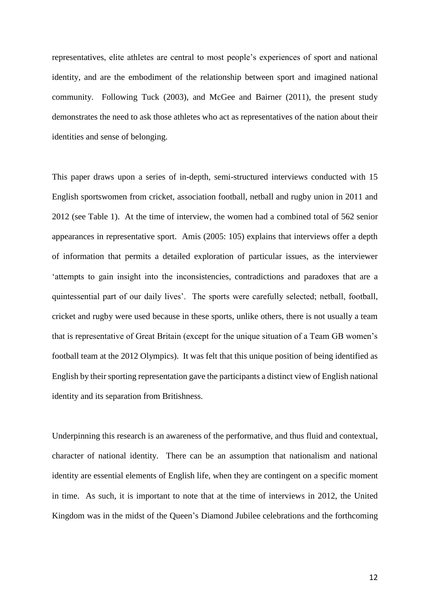representatives, elite athletes are central to most people's experiences of sport and national identity, and are the embodiment of the relationship between sport and imagined national community. Following Tuck (2003), and McGee and Bairner (2011), the present study demonstrates the need to ask those athletes who act as representatives of the nation about their identities and sense of belonging.

This paper draws upon a series of in-depth, semi-structured interviews conducted with 15 English sportswomen from cricket, association football, netball and rugby union in 2011 and 2012 (see Table 1). At the time of interview, the women had a combined total of 562 senior appearances in representative sport. Amis (2005: 105) explains that interviews offer a depth of information that permits a detailed exploration of particular issues, as the interviewer 'attempts to gain insight into the inconsistencies, contradictions and paradoxes that are a quintessential part of our daily lives'. The sports were carefully selected; netball, football, cricket and rugby were used because in these sports, unlike others, there is not usually a team that is representative of Great Britain (except for the unique situation of a Team GB women's football team at the 2012 Olympics). It was felt that this unique position of being identified as English by their sporting representation gave the participants a distinct view of English national identity and its separation from Britishness.

Underpinning this research is an awareness of the performative, and thus fluid and contextual, character of national identity. There can be an assumption that nationalism and national identity are essential elements of English life, when they are contingent on a specific moment in time. As such, it is important to note that at the time of interviews in 2012, the United Kingdom was in the midst of the Queen's Diamond Jubilee celebrations and the forthcoming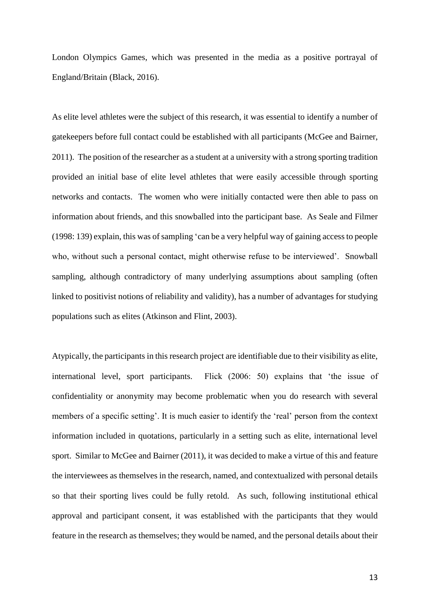London Olympics Games, which was presented in the media as a positive portrayal of England/Britain (Black, 2016).

As elite level athletes were the subject of this research, it was essential to identify a number of gatekeepers before full contact could be established with all participants (McGee and Bairner, 2011). The position of the researcher as a student at a university with a strong sporting tradition provided an initial base of elite level athletes that were easily accessible through sporting networks and contacts. The women who were initially contacted were then able to pass on information about friends, and this snowballed into the participant base. As Seale and Filmer (1998: 139) explain, this was of sampling 'can be a very helpful way of gaining access to people who, without such a personal contact, might otherwise refuse to be interviewed'. Snowball sampling, although contradictory of many underlying assumptions about sampling (often linked to positivist notions of reliability and validity), has a number of advantages for studying populations such as elites (Atkinson and Flint, 2003).

Atypically, the participants in this research project are identifiable due to their visibility as elite, international level, sport participants. Flick (2006: 50) explains that 'the issue of confidentiality or anonymity may become problematic when you do research with several members of a specific setting'. It is much easier to identify the 'real' person from the context information included in quotations, particularly in a setting such as elite, international level sport. Similar to McGee and Bairner (2011), it was decided to make a virtue of this and feature the interviewees as themselves in the research, named, and contextualized with personal details so that their sporting lives could be fully retold. As such, following institutional ethical approval and participant consent, it was established with the participants that they would feature in the research as themselves; they would be named, and the personal details about their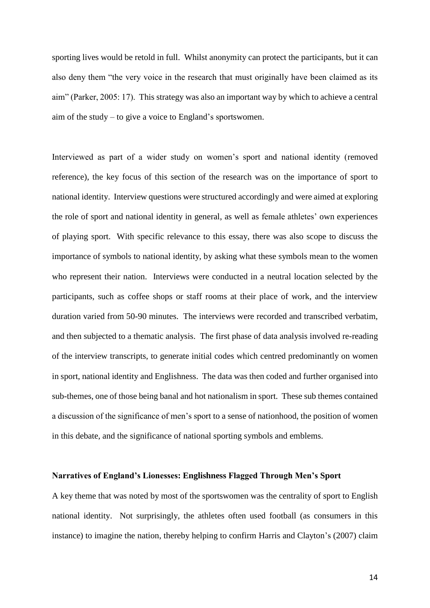sporting lives would be retold in full. Whilst anonymity can protect the participants, but it can also deny them "the very voice in the research that must originally have been claimed as its aim" (Parker, 2005: 17). This strategy was also an important way by which to achieve a central aim of the study – to give a voice to England's sportswomen.

Interviewed as part of a wider study on women's sport and national identity (removed reference), the key focus of this section of the research was on the importance of sport to national identity. Interview questions were structured accordingly and were aimed at exploring the role of sport and national identity in general, as well as female athletes' own experiences of playing sport. With specific relevance to this essay, there was also scope to discuss the importance of symbols to national identity, by asking what these symbols mean to the women who represent their nation. Interviews were conducted in a neutral location selected by the participants, such as coffee shops or staff rooms at their place of work, and the interview duration varied from 50-90 minutes. The interviews were recorded and transcribed verbatim, and then subjected to a thematic analysis. The first phase of data analysis involved re-reading of the interview transcripts, to generate initial codes which centred predominantly on women in sport, national identity and Englishness. The data was then coded and further organised into sub-themes, one of those being banal and hot nationalism in sport. These sub themes contained a discussion of the significance of men's sport to a sense of nationhood, the position of women in this debate, and the significance of national sporting symbols and emblems.

#### **Narratives of England's Lionesses: Englishness Flagged Through Men's Sport**

A key theme that was noted by most of the sportswomen was the centrality of sport to English national identity. Not surprisingly, the athletes often used football (as consumers in this instance) to imagine the nation, thereby helping to confirm Harris and Clayton's (2007) claim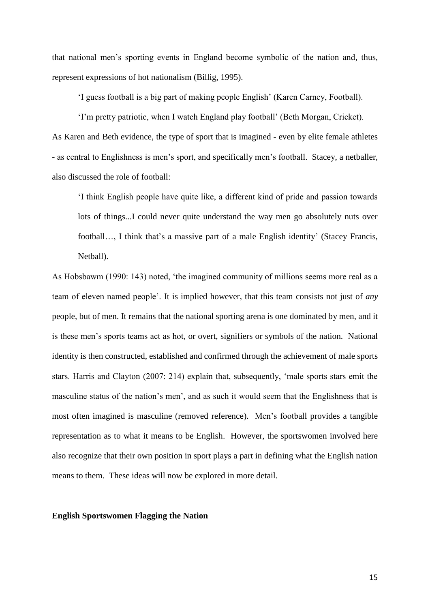that national men's sporting events in England become symbolic of the nation and, thus, represent expressions of hot nationalism (Billig, 1995).

'I guess football is a big part of making people English' (Karen Carney, Football).

'I'm pretty patriotic, when I watch England play football' (Beth Morgan, Cricket). As Karen and Beth evidence, the type of sport that is imagined - even by elite female athletes - as central to Englishness is men's sport, and specifically men's football. Stacey, a netballer, also discussed the role of football:

'I think English people have quite like, a different kind of pride and passion towards lots of things...I could never quite understand the way men go absolutely nuts over football…, I think that's a massive part of a male English identity' (Stacey Francis, Netball).

As Hobsbawm (1990: 143) noted, 'the imagined community of millions seems more real as a team of eleven named people'. It is implied however, that this team consists not just of *any*  people, but of men. It remains that the national sporting arena is one dominated by men, and it is these men's sports teams act as hot, or overt, signifiers or symbols of the nation. National identity is then constructed, established and confirmed through the achievement of male sports stars. Harris and Clayton (2007: 214) explain that, subsequently, 'male sports stars emit the masculine status of the nation's men', and as such it would seem that the Englishness that is most often imagined is masculine (removed reference). Men's football provides a tangible representation as to what it means to be English. However, the sportswomen involved here also recognize that their own position in sport plays a part in defining what the English nation means to them. These ideas will now be explored in more detail.

#### **English Sportswomen Flagging the Nation**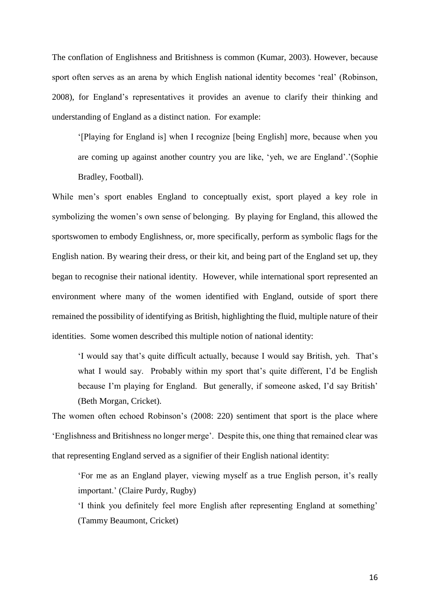The conflation of Englishness and Britishness is common (Kumar, 2003). However, because sport often serves as an arena by which English national identity becomes 'real' (Robinson, 2008), for England's representatives it provides an avenue to clarify their thinking and understanding of England as a distinct nation. For example:

'[Playing for England is] when I recognize [being English] more, because when you are coming up against another country you are like, 'yeh, we are England'.'(Sophie Bradley, Football).

While men's sport enables England to conceptually exist, sport played a key role in symbolizing the women's own sense of belonging. By playing for England, this allowed the sportswomen to embody Englishness, or, more specifically, perform as symbolic flags for the English nation. By wearing their dress, or their kit, and being part of the England set up, they began to recognise their national identity. However, while international sport represented an environment where many of the women identified with England, outside of sport there remained the possibility of identifying as British, highlighting the fluid, multiple nature of their identities. Some women described this multiple notion of national identity:

'I would say that's quite difficult actually, because I would say British, yeh. That's what I would say. Probably within my sport that's quite different, I'd be English because I'm playing for England. But generally, if someone asked, I'd say British' (Beth Morgan, Cricket).

The women often echoed Robinson's (2008: 220) sentiment that sport is the place where 'Englishness and Britishness no longer merge'. Despite this, one thing that remained clear was that representing England served as a signifier of their English national identity:

'For me as an England player, viewing myself as a true English person, it's really important.' (Claire Purdy, Rugby)

'I think you definitely feel more English after representing England at something' (Tammy Beaumont, Cricket)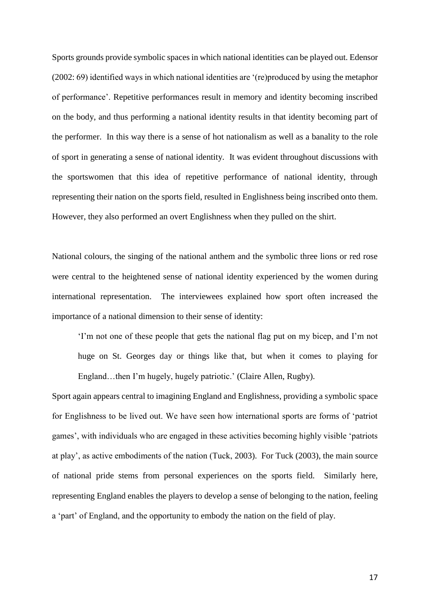Sports grounds provide symbolic spaces in which national identities can be played out. Edensor (2002: 69) identified ways in which national identities are '(re)produced by using the metaphor of performance'. Repetitive performances result in memory and identity becoming inscribed on the body, and thus performing a national identity results in that identity becoming part of the performer. In this way there is a sense of hot nationalism as well as a banality to the role of sport in generating a sense of national identity. It was evident throughout discussions with the sportswomen that this idea of repetitive performance of national identity, through representing their nation on the sports field, resulted in Englishness being inscribed onto them. However, they also performed an overt Englishness when they pulled on the shirt.

National colours, the singing of the national anthem and the symbolic three lions or red rose were central to the heightened sense of national identity experienced by the women during international representation. The interviewees explained how sport often increased the importance of a national dimension to their sense of identity:

'I'm not one of these people that gets the national flag put on my bicep, and I'm not huge on St. Georges day or things like that, but when it comes to playing for England…then I'm hugely, hugely patriotic.' (Claire Allen, Rugby).

Sport again appears central to imagining England and Englishness, providing a symbolic space for Englishness to be lived out. We have seen how international sports are forms of 'patriot games', with individuals who are engaged in these activities becoming highly visible 'patriots at play', as active embodiments of the nation (Tuck, 2003). For Tuck (2003), the main source of national pride stems from personal experiences on the sports field. Similarly here, representing England enables the players to develop a sense of belonging to the nation, feeling a 'part' of England, and the opportunity to embody the nation on the field of play.

17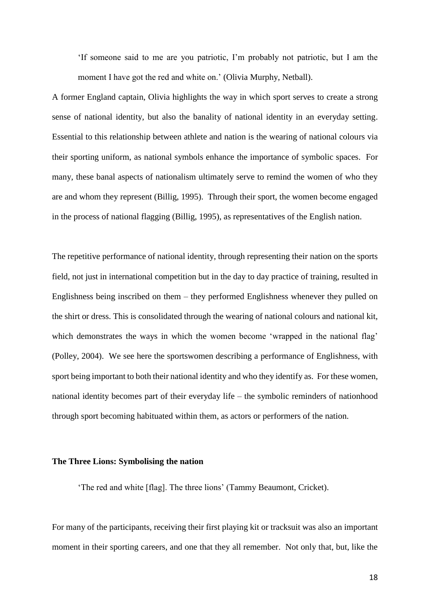'If someone said to me are you patriotic, I'm probably not patriotic, but I am the moment I have got the red and white on.' (Olivia Murphy, Netball).

A former England captain, Olivia highlights the way in which sport serves to create a strong sense of national identity, but also the banality of national identity in an everyday setting. Essential to this relationship between athlete and nation is the wearing of national colours via their sporting uniform, as national symbols enhance the importance of symbolic spaces. For many, these banal aspects of nationalism ultimately serve to remind the women of who they are and whom they represent (Billig, 1995). Through their sport, the women become engaged in the process of national flagging (Billig, 1995), as representatives of the English nation.

The repetitive performance of national identity, through representing their nation on the sports field, not just in international competition but in the day to day practice of training, resulted in Englishness being inscribed on them – they performed Englishness whenever they pulled on the shirt or dress. This is consolidated through the wearing of national colours and national kit, which demonstrates the ways in which the women become 'wrapped in the national flag' (Polley, 2004). We see here the sportswomen describing a performance of Englishness, with sport being important to both their national identity and who they identify as. For these women, national identity becomes part of their everyday life – the symbolic reminders of nationhood through sport becoming habituated within them, as actors or performers of the nation.

#### **The Three Lions: Symbolising the nation**

'The red and white [flag]. The three lions' (Tammy Beaumont, Cricket).

For many of the participants, receiving their first playing kit or tracksuit was also an important moment in their sporting careers, and one that they all remember. Not only that, but, like the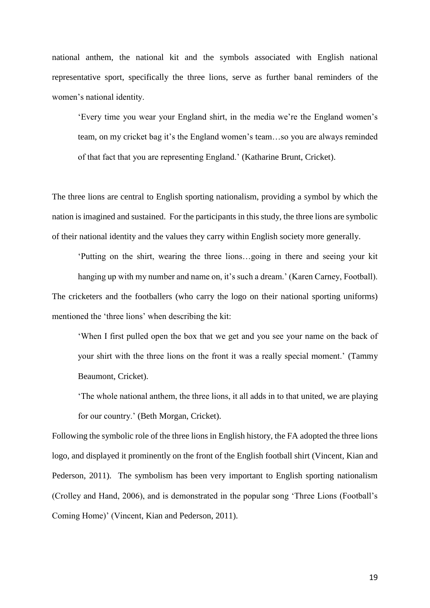national anthem, the national kit and the symbols associated with English national representative sport, specifically the three lions, serve as further banal reminders of the women's national identity.

'Every time you wear your England shirt, in the media we're the England women's team, on my cricket bag it's the England women's team…so you are always reminded of that fact that you are representing England.' (Katharine Brunt, Cricket).

The three lions are central to English sporting nationalism, providing a symbol by which the nation is imagined and sustained. For the participants in this study, the three lions are symbolic of their national identity and the values they carry within English society more generally.

'Putting on the shirt, wearing the three lions…going in there and seeing your kit hanging up with my number and name on, it's such a dream.' (Karen Carney, Football). The cricketers and the footballers (who carry the logo on their national sporting uniforms) mentioned the 'three lions' when describing the kit:

'When I first pulled open the box that we get and you see your name on the back of your shirt with the three lions on the front it was a really special moment.' (Tammy Beaumont, Cricket).

'The whole national anthem, the three lions, it all adds in to that united, we are playing for our country.' (Beth Morgan, Cricket).

Following the symbolic role of the three lions in English history, the FA adopted the three lions logo, and displayed it prominently on the front of the English football shirt (Vincent, Kian and Pederson, 2011). The symbolism has been very important to English sporting nationalism (Crolley and Hand, 2006), and is demonstrated in the popular song 'Three Lions (Football's Coming Home)' (Vincent, Kian and Pederson, 2011).

19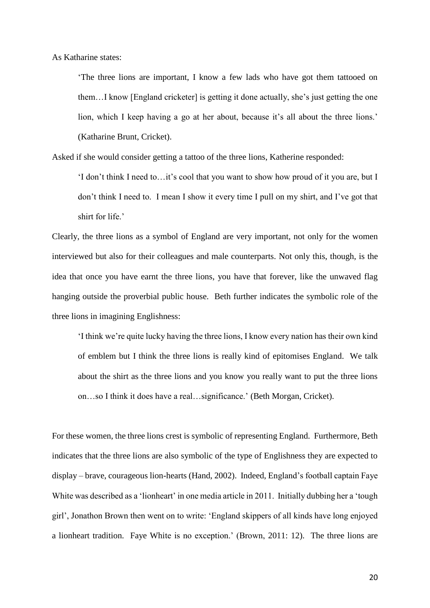As Katharine states:

'The three lions are important, I know a few lads who have got them tattooed on them…I know [England cricketer] is getting it done actually, she's just getting the one lion, which I keep having a go at her about, because it's all about the three lions.' (Katharine Brunt, Cricket).

Asked if she would consider getting a tattoo of the three lions, Katherine responded:

'I don't think I need to…it's cool that you want to show how proud of it you are, but I don't think I need to. I mean I show it every time I pull on my shirt, and I've got that shirt for life.'

Clearly, the three lions as a symbol of England are very important, not only for the women interviewed but also for their colleagues and male counterparts. Not only this, though, is the idea that once you have earnt the three lions, you have that forever, like the unwaved flag hanging outside the proverbial public house. Beth further indicates the symbolic role of the three lions in imagining Englishness:

'I think we're quite lucky having the three lions, I know every nation has their own kind of emblem but I think the three lions is really kind of epitomises England. We talk about the shirt as the three lions and you know you really want to put the three lions on…so I think it does have a real…significance.' (Beth Morgan, Cricket).

For these women, the three lions crest is symbolic of representing England. Furthermore, Beth indicates that the three lions are also symbolic of the type of Englishness they are expected to display – brave, courageous lion-hearts (Hand, 2002). Indeed, England's football captain Faye White was described as a 'lionheart' in one media article in 2011. Initially dubbing her a 'tough girl', Jonathon Brown then went on to write: 'England skippers of all kinds have long enjoyed a lionheart tradition. Faye White is no exception.' (Brown, 2011: 12). The three lions are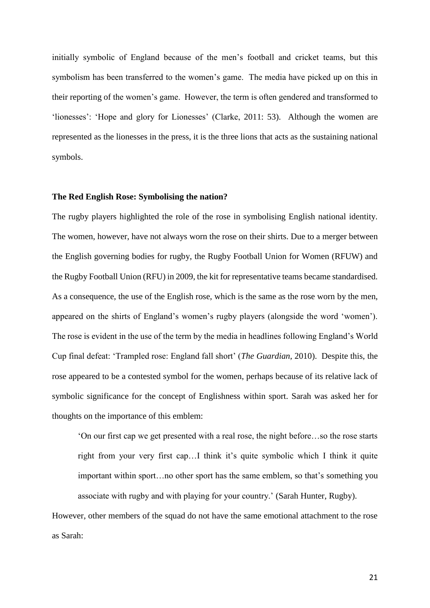initially symbolic of England because of the men's football and cricket teams, but this symbolism has been transferred to the women's game. The media have picked up on this in their reporting of the women's game. However, the term is often gendered and transformed to 'lionesses': 'Hope and glory for Lionesses' (Clarke, 2011: 53). Although the women are represented as the lionesses in the press, it is the three lions that acts as the sustaining national symbols.

#### **The Red English Rose: Symbolising the nation?**

The rugby players highlighted the role of the rose in symbolising English national identity. The women, however, have not always worn the rose on their shirts. Due to a merger between the English governing bodies for rugby, the Rugby Football Union for Women (RFUW) and the Rugby Football Union (RFU) in 2009, the kit for representative teams became standardised. As a consequence, the use of the English rose, which is the same as the rose worn by the men, appeared on the shirts of England's women's rugby players (alongside the word 'women'). The rose is evident in the use of the term by the media in headlines following England's World Cup final defeat: 'Trampled rose: England fall short' (*The Guardian*, 2010). Despite this, the rose appeared to be a contested symbol for the women, perhaps because of its relative lack of symbolic significance for the concept of Englishness within sport. Sarah was asked her for thoughts on the importance of this emblem:

'On our first cap we get presented with a real rose, the night before…so the rose starts right from your very first cap…I think it's quite symbolic which I think it quite important within sport…no other sport has the same emblem, so that's something you associate with rugby and with playing for your country.' (Sarah Hunter, Rugby).

However, other members of the squad do not have the same emotional attachment to the rose as Sarah: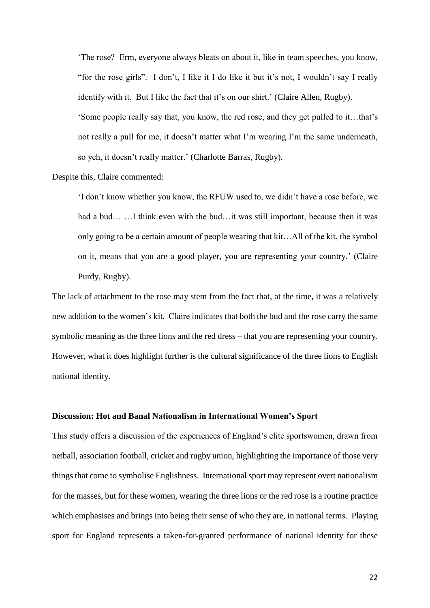'The rose? Erm, everyone always bleats on about it, like in team speeches, you know, "for the rose girls". I don't, I like it I do like it but it's not, I wouldn't say I really identify with it. But I like the fact that it's on our shirt.' (Claire Allen, Rugby). 'Some people really say that, you know, the red rose, and they get pulled to it…that's not really a pull for me, it doesn't matter what I'm wearing I'm the same underneath, so yeh, it doesn't really matter.' (Charlotte Barras, Rugby).

#### Despite this, Claire commented:

'I don't know whether you know, the RFUW used to, we didn't have a rose before, we had a bud... …I think even with the bud…it was still important, because then it was only going to be a certain amount of people wearing that kit…All of the kit, the symbol on it, means that you are a good player, you are representing your country.' (Claire Purdy, Rugby).

The lack of attachment to the rose may stem from the fact that, at the time, it was a relatively new addition to the women's kit. Claire indicates that both the bud and the rose carry the same symbolic meaning as the three lions and the red dress – that you are representing your country. However, what it does highlight further is the cultural significance of the three lions to English national identity.

## **Discussion: Hot and Banal Nationalism in International Women's Sport**

This study offers a discussion of the experiences of England's elite sportswomen, drawn from netball, association football, cricket and rugby union, highlighting the importance of those very things that come to symbolise Englishness. International sport may represent overt nationalism for the masses, but for these women, wearing the three lions or the red rose is a routine practice which emphasises and brings into being their sense of who they are, in national terms. Playing sport for England represents a taken-for-granted performance of national identity for these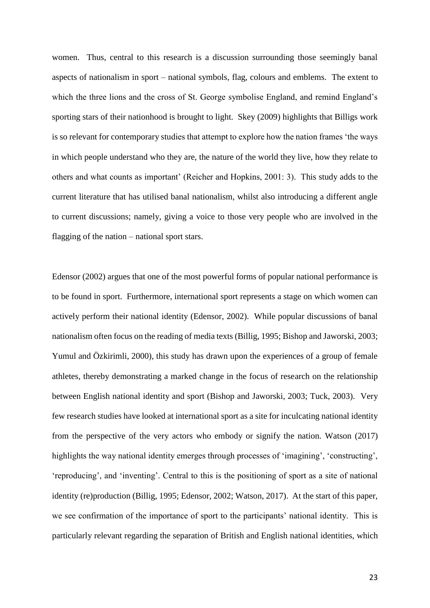women. Thus, central to this research is a discussion surrounding those seemingly banal aspects of nationalism in sport – national symbols, flag, colours and emblems. The extent to which the three lions and the cross of St. George symbolise England, and remind England's sporting stars of their nationhood is brought to light. Skey (2009) highlights that Billigs work is so relevant for contemporary studies that attempt to explore how the nation frames 'the ways in which people understand who they are, the nature of the world they live, how they relate to others and what counts as important' (Reicher and Hopkins, 2001: 3). This study adds to the current literature that has utilised banal nationalism, whilst also introducing a different angle to current discussions; namely, giving a voice to those very people who are involved in the flagging of the nation – national sport stars.

Edensor (2002) argues that one of the most powerful forms of popular national performance is to be found in sport. Furthermore, international sport represents a stage on which women can actively perform their national identity (Edensor, 2002). While popular discussions of banal nationalism often focus on the reading of media texts (Billig, 1995; Bishop and Jaworski, 2003; Yumul and Özkirimli, 2000), this study has drawn upon the experiences of a group of female athletes, thereby demonstrating a marked change in the focus of research on the relationship between English national identity and sport (Bishop and Jaworski, 2003; Tuck, 2003). Very few research studies have looked at international sport as a site for inculcating national identity from the perspective of the very actors who embody or signify the nation. Watson (2017) highlights the way national identity emerges through processes of 'imagining', 'constructing', 'reproducing', and 'inventing'. Central to this is the positioning of sport as a site of national identity (re)production (Billig, 1995; Edensor, 2002; Watson, 2017). At the start of this paper, we see confirmation of the importance of sport to the participants' national identity. This is particularly relevant regarding the separation of British and English national identities, which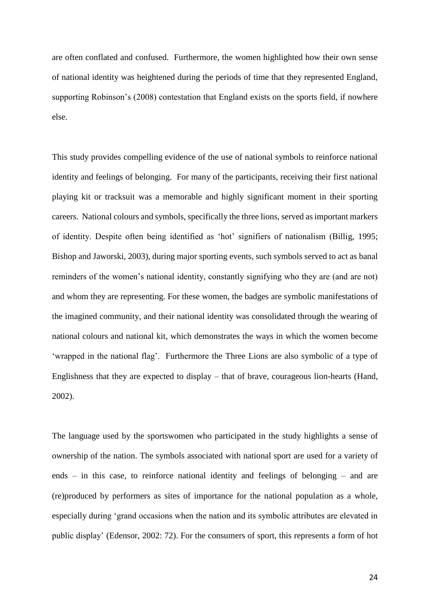are often conflated and confused. Furthermore, the women highlighted how their own sense of national identity was heightened during the periods of time that they represented England, supporting Robinson's (2008) contestation that England exists on the sports field, if nowhere else.

This study provides compelling evidence of the use of national symbols to reinforce national identity and feelings of belonging. For many of the participants, receiving their first national playing kit or tracksuit was a memorable and highly significant moment in their sporting careers. National colours and symbols, specifically the three lions, served as important markers of identity. Despite often being identified as 'hot' signifiers of nationalism (Billig, 1995; Bishop and Jaworski, 2003), during major sporting events, such symbols served to act as banal reminders of the women's national identity, constantly signifying who they are (and are not) and whom they are representing. For these women, the badges are symbolic manifestations of the imagined community, and their national identity was consolidated through the wearing of national colours and national kit, which demonstrates the ways in which the women become 'wrapped in the national flag'. Furthermore the Three Lions are also symbolic of a type of Englishness that they are expected to display – that of brave, courageous lion-hearts (Hand, 2002).

The language used by the sportswomen who participated in the study highlights a sense of ownership of the nation. The symbols associated with national sport are used for a variety of ends – in this case, to reinforce national identity and feelings of belonging – and are (re)produced by performers as sites of importance for the national population as a whole, especially during 'grand occasions when the nation and its symbolic attributes are elevated in public display' (Edensor, 2002: 72). For the consumers of sport, this represents a form of hot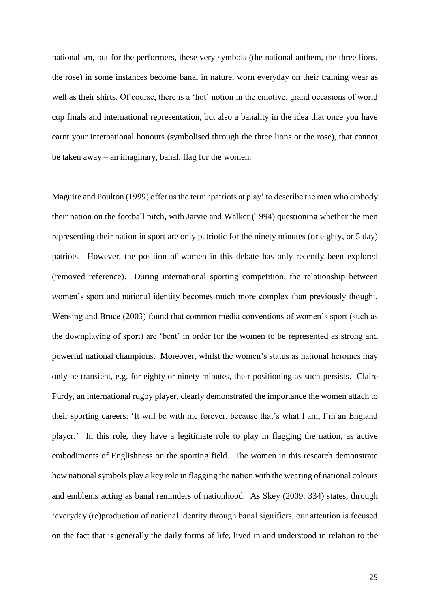nationalism, but for the performers, these very symbols (the national anthem, the three lions, the rose) in some instances become banal in nature, worn everyday on their training wear as well as their shirts. Of course, there is a 'hot' notion in the emotive, grand occasions of world cup finals and international representation, but also a banality in the idea that once you have earnt your international honours (symbolised through the three lions or the rose), that cannot be taken away – an imaginary, banal, flag for the women.

Maguire and Poulton (1999) offer us the term 'patriots at play' to describe the men who embody their nation on the football pitch, with Jarvie and Walker (1994) questioning whether the men representing their nation in sport are only patriotic for the ninety minutes (or eighty, or 5 day) patriots. However, the position of women in this debate has only recently been explored (removed reference). During international sporting competition, the relationship between women's sport and national identity becomes much more complex than previously thought. Wensing and Bruce (2003) found that common media conventions of women's sport (such as the downplaying of sport) are 'bent' in order for the women to be represented as strong and powerful national champions. Moreover, whilst the women's status as national heroines may only be transient, e.g. for eighty or ninety minutes, their positioning as such persists. Claire Purdy, an international rugby player, clearly demonstrated the importance the women attach to their sporting careers: 'It will be with me forever, because that's what I am, I'm an England player.' In this role, they have a legitimate role to play in flagging the nation, as active embodiments of Englishness on the sporting field. The women in this research demonstrate how national symbols play a key role in flagging the nation with the wearing of national colours and emblems acting as banal reminders of nationhood. As Skey (2009: 334) states, through 'everyday (re)production of national identity through banal signifiers, our attention is focused on the fact that is generally the daily forms of life, lived in and understood in relation to the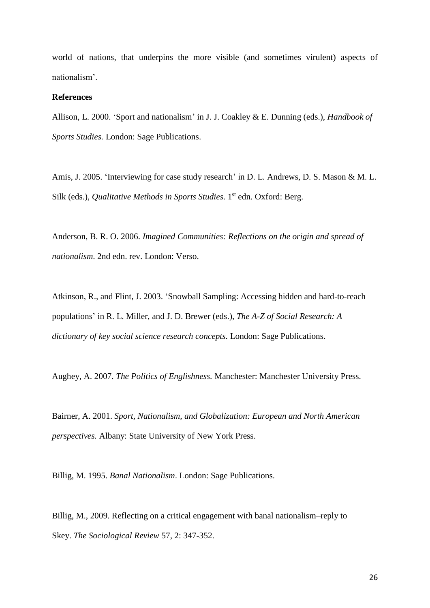world of nations, that underpins the more visible (and sometimes virulent) aspects of nationalism'.

#### **References**

Allison, L. 2000. 'Sport and nationalism' in J. J. Coakley & E. Dunning (eds.), *Handbook of Sports Studies.* London: Sage Publications.

Amis, J. 2005. 'Interviewing for case study research' in D. L. Andrews, D. S. Mason & M. L. Silk (eds.), *Qualitative Methods in Sports Studies*. 1<sup>st</sup> edn. Oxford: Berg.

Anderson, B. R. O. 2006. *Imagined Communities: Reflections on the origin and spread of nationalism*. 2nd edn. rev. London: Verso.

Atkinson, R., and Flint, J. 2003. 'Snowball Sampling: Accessing hidden and hard-to-reach populations' in R. L. Miller, and J. D. Brewer (eds.), *The A-Z of Social Research: A dictionary of key social science research concepts.* London: Sage Publications.

Aughey, A. 2007. *The Politics of Englishness.* Manchester: Manchester University Press.

Bairner, A. 2001. *Sport, Nationalism, and Globalization: European and North American perspectives.* Albany: State University of New York Press.

Billig, M. 1995. *Banal Nationalism*. London: Sage Publications.

Billig, M., 2009. Reflecting on a critical engagement with banal nationalism–reply to Skey. *The Sociological Review* 57, 2: 347-352.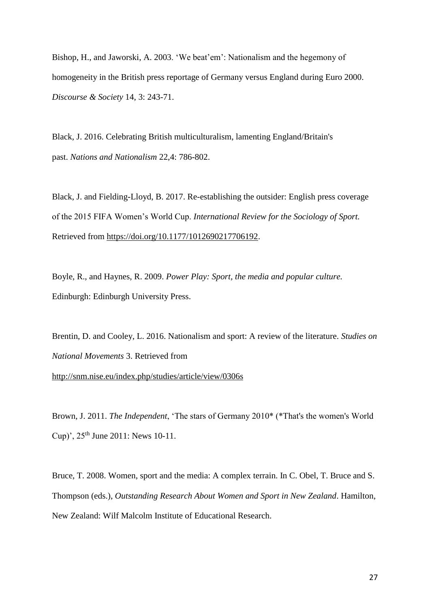Bishop, H., and Jaworski, A. 2003. 'We beat'em': Nationalism and the hegemony of homogeneity in the British press reportage of Germany versus England during Euro 2000. *Discourse & Society* 14, 3: 243-71.

Black, J. 2016. Celebrating British multiculturalism, lamenting England/Britain's past. *Nations and Nationalism* 22,4: 786-802.

Black, J. and Fielding-Lloyd, B. 2017. Re-establishing the outsider: English press coverage of the 2015 FIFA Women's World Cup. *International Review for the Sociology of Sport.*  Retrieved from [https://doi.org/10.1177/1012690217706192.](https://doi.org/10.1177/1012690217706192)

Boyle, R., and Haynes, R. 2009. *Power Play: Sport, the media and popular culture.* Edinburgh: Edinburgh University Press.

Brentin, D. and Cooley, L. 2016. Nationalism and sport: A review of the literature. *Studies on National Movements* 3. Retrieved from

<http://snm.nise.eu/index.php/studies/article/view/0306s>

Brown, J. 2011. *The Independent*, 'The stars of Germany 2010\* (\*That's the women's World Cup)', 25<sup>th</sup> June 2011: News 10-11.

Bruce, T. 2008. Women, sport and the media: A complex terrain. In C. Obel, T. Bruce and S. Thompson (eds.), *Outstanding Research About Women and Sport in New Zealand*. Hamilton, New Zealand: Wilf Malcolm Institute of Educational Research.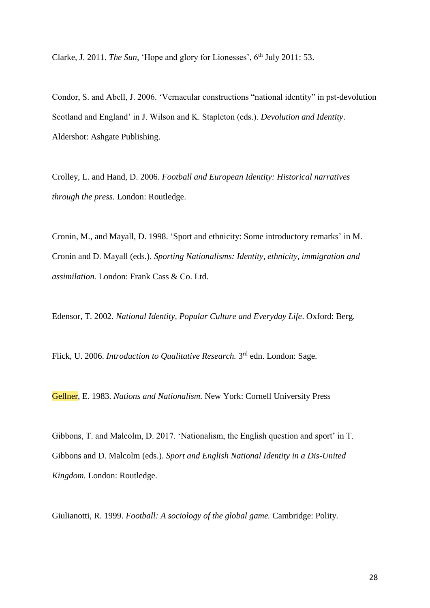Clarke, J. 2011. *The Sun*, 'Hope and glory for Lionesses', 6<sup>th</sup> July 2011: 53.

Condor, S. and Abell, J. 2006. 'Vernacular constructions "national identity" in pst-devolution Scotland and England' in J. Wilson and K. Stapleton (eds.). *Devolution and Identity*. Aldershot: Ashgate Publishing.

Crolley, L. and Hand, D. 2006. *Football and European Identity: Historical narratives through the press.* London: Routledge.

Cronin, M., and Mayall, D. 1998. 'Sport and ethnicity: Some introductory remarks' in M. Cronin and D. Mayall (eds.). *Sporting Nationalisms: Identity, ethnicity, immigration and assimilation.* London: Frank Cass & Co. Ltd.

Edensor, T. 2002. *National Identity, Popular Culture and Everyday Life*. Oxford: Berg.

Flick, U. 2006. *Introduction to Qualitative Research*. 3<sup>rd</sup> edn. London: Sage.

Gellner, E. 1983. *Nations and Nationalism.* New York: Cornell University Press

Gibbons, T. and Malcolm, D. 2017. 'Nationalism, the English question and sport' in T. Gibbons and D. Malcolm (eds.). *Sport and English National Identity in a Dis-United Kingdom.* London: Routledge.

Giulianotti, R. 1999. *Football: A sociology of the global game.* Cambridge: Polity.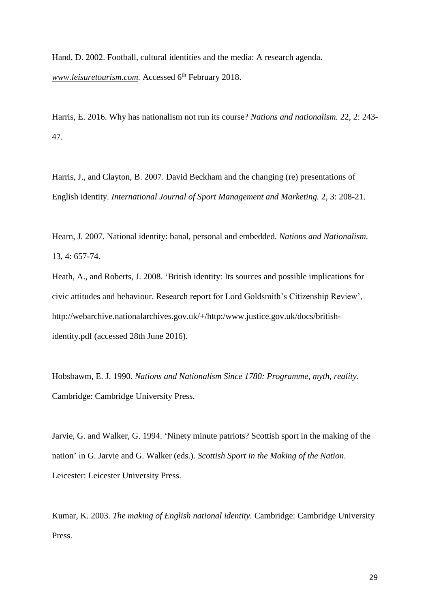Hand, D. 2002. Football, cultural identities and the media: A research agenda. *[www.leisuretourism.com.](http://www.leisuretourism.com/)* Accessed 6 th February 2018.

Harris, E. 2016. Why has nationalism not run its course? *Nations and nationalism.* 22, 2: 243- 47.

Harris, J., and Clayton, B. 2007. David Beckham and the changing (re) presentations of English identity. *International Journal of Sport Management and Marketing.* 2, 3: 208-21.

Hearn, J. 2007. National identity: banal, personal and embedded. *Nations and Nationalism.*  13, 4: 657-74.

Heath, A., and Roberts, J. 2008. 'British identity: Its sources and possible implications for civic attitudes and behaviour. Research report for Lord Goldsmith's Citizenship Review', http://webarchive.nationalarchives.gov.uk/+/http:/www.justice.gov.uk/docs/britishidentity.pdf (accessed 28th June 2016).

Hobsbawm, E. J. 1990. *Nations and Nationalism Since 1780: Programme, myth, reality.* Cambridge: Cambridge University Press.

Jarvie, G. and Walker, G. 1994. 'Ninety minute patriots? Scottish sport in the making of the nation' in G. Jarvie and G. Walker (eds.). *Scottish Sport in the Making of the Nation*. Leicester: Leicester University Press.

Kumar, K. 2003. *The making of English national identity.* Cambridge: Cambridge University Press.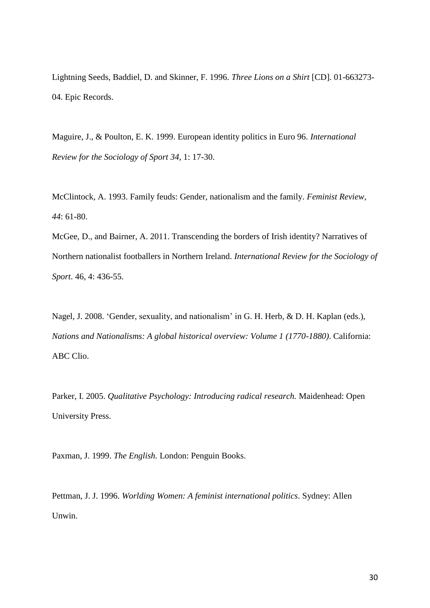Lightning Seeds, Baddiel, D. and Skinner, F. 1996. *Three Lions on a Shirt* [CD]*.* 01-663273- 04. Epic Records.

Maguire, J., & Poulton, E. K. 1999. European identity politics in Euro 96. *International Review for the Sociology of Sport 34*, 1: 17-30.

McClintock, A. 1993. Family feuds: Gender, nationalism and the family. *Feminist Review, 44*: 61-80.

McGee, D., and Bairner, A. 2011. Transcending the borders of Irish identity? Narratives of Northern nationalist footballers in Northern Ireland. *International Review for the Sociology of Sport*. 46, 4: 436-55.

Nagel, J. 2008. 'Gender, sexuality, and nationalism' in G. H. Herb, & D. H. Kaplan (eds.), *Nations and Nationalisms: A global historical overview: Volume 1 (1770-1880)*. California: ABC Clio.

Parker, I. 2005. *Qualitative Psychology: Introducing radical research.* Maidenhead: Open University Press.

Paxman, J. 1999. *The English.* London: Penguin Books.

Pettman, J. J. 1996. *Worlding Women: A feminist international politics*. Sydney: Allen Unwin.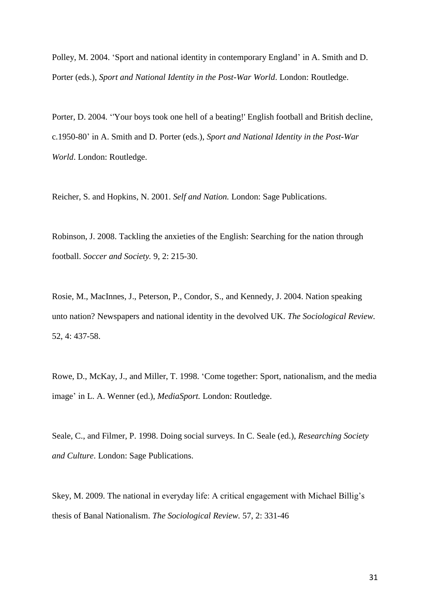Polley, M. 2004. 'Sport and national identity in contemporary England' in A. Smith and D. Porter (eds.), *Sport and National Identity in the Post-War World*. London: Routledge.

Porter, D. 2004. ''Your boys took one hell of a beating!' English football and British decline, c.1950-80' in A. Smith and D. Porter (eds.), *Sport and National Identity in the Post-War World*. London: Routledge.

Reicher, S. and Hopkins, N. 2001. *Self and Nation.* London: Sage Publications.

Robinson, J. 2008. Tackling the anxieties of the English: Searching for the nation through football. *Soccer and Society.* 9, 2: 215-30.

Rosie, M., MacInnes, J., Peterson, P., Condor, S., and Kennedy, J. 2004. Nation speaking unto nation? Newspapers and national identity in the devolved UK. *The Sociological Review.*  52, 4: 437-58.

Rowe, D., McKay, J., and Miller, T. 1998. 'Come together: Sport, nationalism, and the media image' in L. A. Wenner (ed.), *MediaSport.* London: Routledge.

Seale, C., and Filmer, P. 1998. Doing social surveys. In C. Seale (ed.), *Researching Society and Culture*. London: Sage Publications.

Skey, M. 2009. The national in everyday life: A critical engagement with Michael Billig's thesis of Banal Nationalism. *The Sociological Review.* 57, 2: 331-46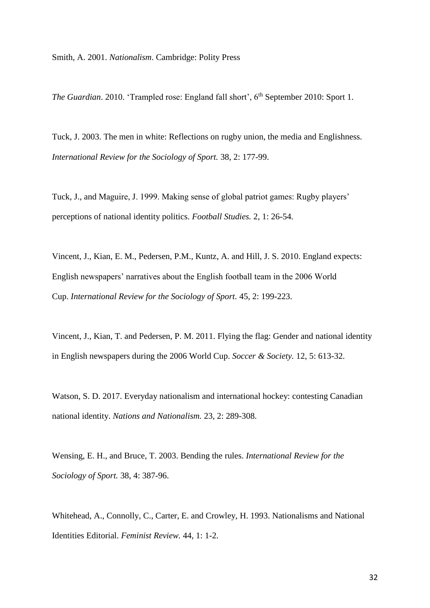*The Guardian.* 2010. 'Trampled rose: England fall short', 6<sup>th</sup> September 2010: Sport 1.

Tuck, J. 2003. The men in white: Reflections on rugby union, the media and Englishness. *International Review for the Sociology of Sport.* 38, 2: 177-99.

Tuck, J., and Maguire, J. 1999. Making sense of global patriot games: Rugby players' perceptions of national identity politics. *Football Studies.* 2, 1: 26-54.

Vincent, J., Kian, E. M., Pedersen, P.M., Kuntz, A. and Hill, J. S. 2010. England expects: English newspapers' narratives about the English football team in the 2006 World Cup. *International Review for the Sociology of Sport.* 45, 2: 199-223.

Vincent, J., Kian, T. and Pedersen, P. M. 2011. Flying the flag: Gender and national identity in English newspapers during the 2006 World Cup. *Soccer & Society.* 12, 5: 613-32.

Watson, S. D. 2017. Everyday nationalism and international hockey: contesting Canadian national identity. *Nations and Nationalism.* 23, 2: 289-308.

Wensing, E. H., and Bruce, T. 2003. Bending the rules. *International Review for the Sociology of Sport.* 38, 4: 387-96.

Whitehead, A., Connolly, C., Carter, E. and Crowley, H. 1993. Nationalisms and National Identities Editorial. *Feminist Review.* 44, 1: 1-2.